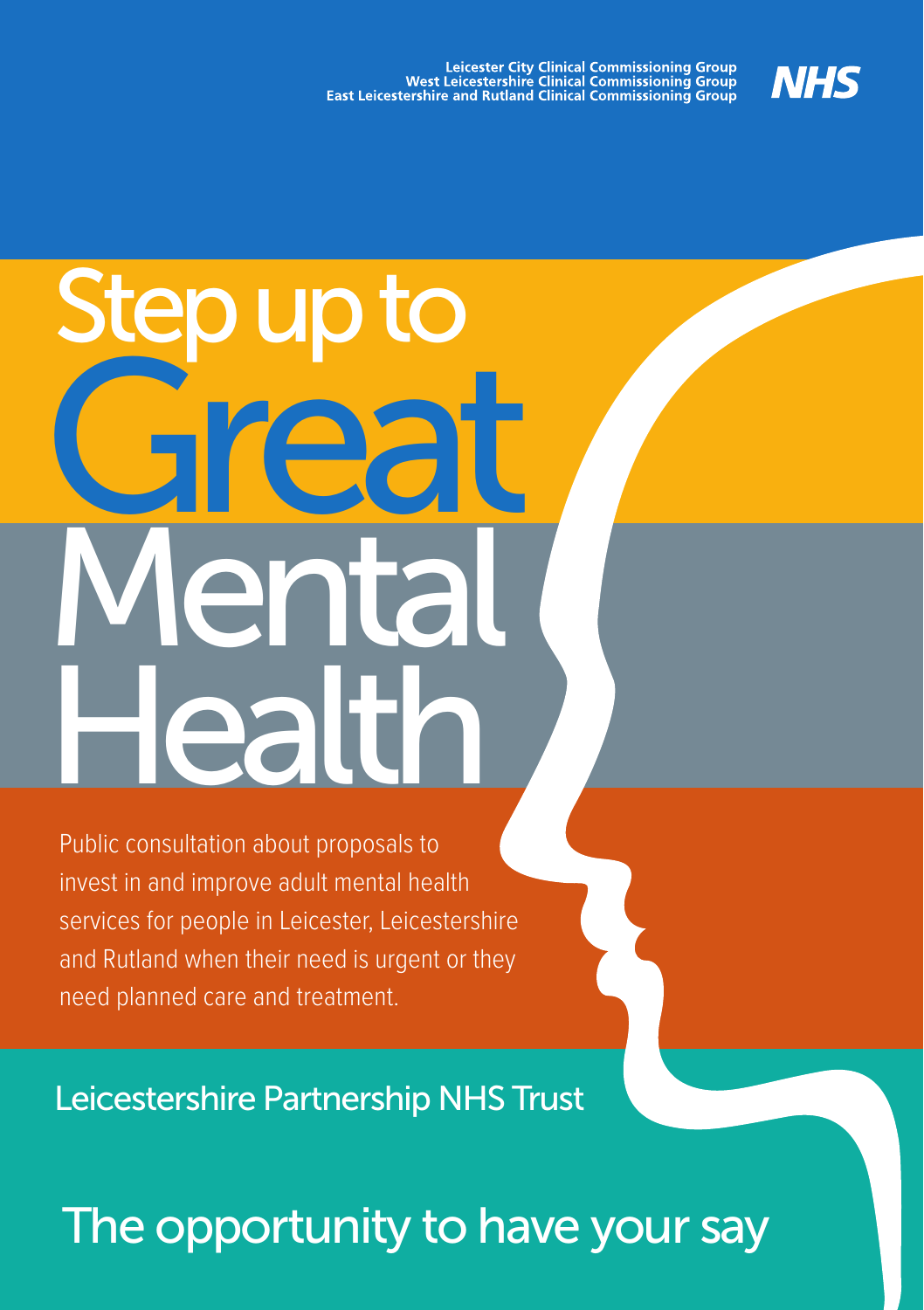

# ental **Healt** Step up to **Free Francisco**

Public consultation about proposals to invest in and improve adult mental health services for people in Leicester, Leicestershire and Rutland when their need is urgent or they need planned care and treatment.

Leicestershire Partnership NHS Trust

## The opportunity to have your say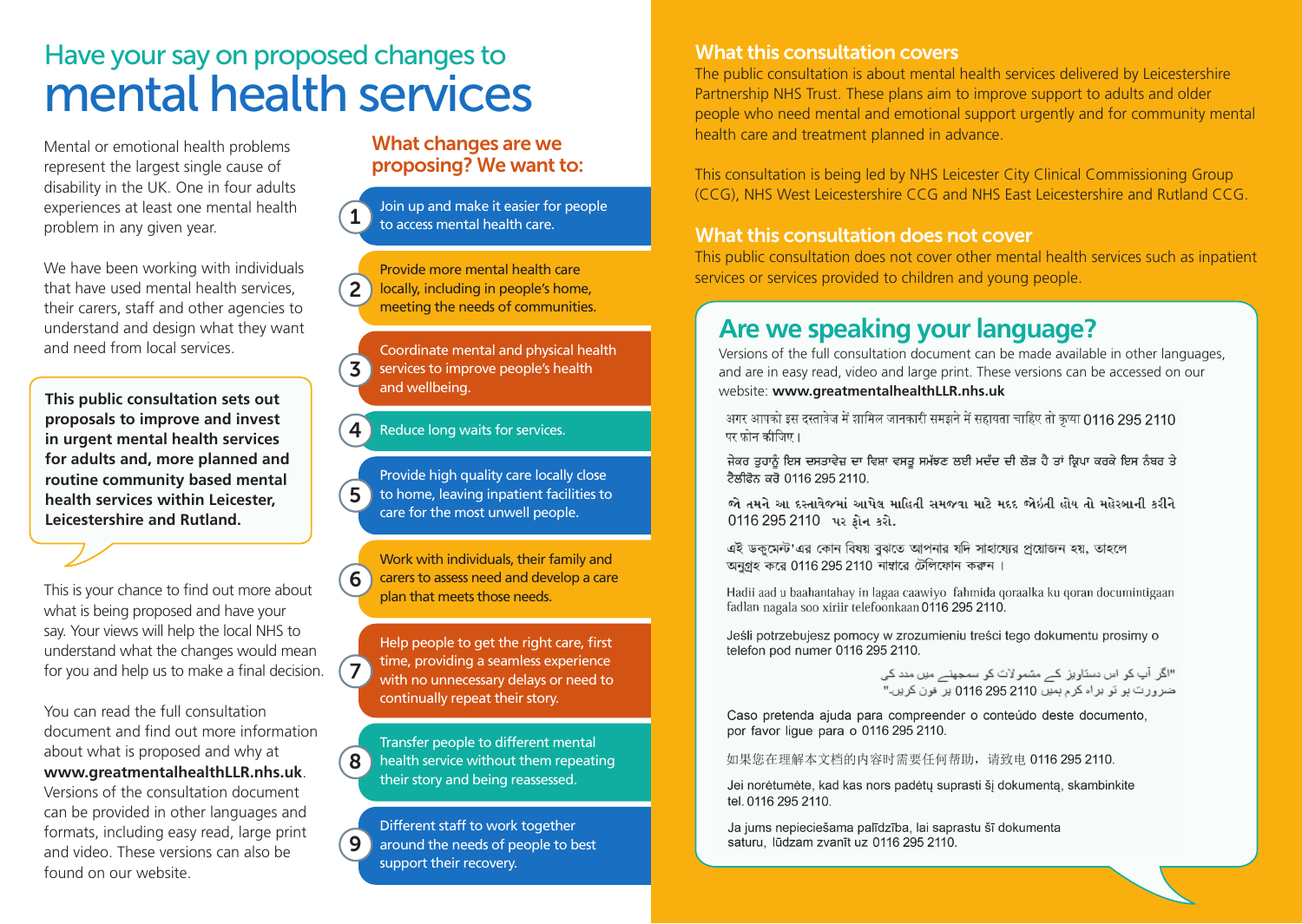## Have your say on proposed changes to mental health services

Mental or emotional health problems represent the largest single cause of disability in the UK. One in four adults experiences at least one mental health problem in any given year.

We have been working with individuals that have used mental health services, their carers, staff and other agencies to understand and design what they want and need from local services.

website: **www.greatmentalhealthLLR.nhs.uk This public consultation sets out proposals to improve and invest in urgent mental health services for adults and, more planned and routine community based mental health services within Leicester, Leicestershire and Rutland.**

This is your chance to find out more about what is being proposed and have your say. Your views will help the local NHS to understand what the changes would mean for you and help us to make a final decision.

You can read the full consultation document and find out more information about what is proposed and why at **www.greatmentalhealthLLR.nhs.uk**. Versions of the consultation document can be provided in other languages and formats, including easy read, large print and video. These versions can also be found on our website.

#### What changes are we proposing? We want to:

**1** Join up and make it easier for people to access mental health care.

 $\overline{2}$ Provide more mental health care locally, including in people's home, meeting the needs of communities.

3 Coordinate mental and physical health services to improve people's health and wellbeing.

#### **4.** Reduce long waits for services.

 $\overline{5}$ Provide high quality care locally close to home, leaving inpatient facilities to care for the most unwell people.

6 Work with individuals, their family and carers to assess need and develop a care plan that meets those needs.

 $\mathbf{7}$ Help people to get the right care, first time, providing a seamless experience with no unnecessary delays or need to continually repeat their story.

8 Transfer people to different mental health service without them repeating their story and being reassessed.

9 Different staff to work together around the needs of people to best support their recovery.

#### What this consultation covers

The public consultation is about mental health services delivered by Leicestershire Partnership NHS Trust. These plans aim to improve support to adults and older people who need mental and emotional support urgently and for community mental health care and treatment planned in advance.

This consultation is being led by NHS Leicester City Clinical Commissioning Group (CCG), NHS West Leicestershire CCG and NHS East Leicestershire and Rutland CCG.

#### What this consultation does not cover

This public consultation does not cover other mental health services such as inpatient services or services provided to children and young people.

### **Are we speaking your language?**

Versions of the full consultation document can be made available in other languages, and are in easy read, video and large print. These versions can be accessed on our

पर फोन कीजिए।

ਜੇਕਰ ਤੁਹਾਨੂੰ ਇਸ ਦਸਤਾਵੇਜ਼ ਦਾ ਵਿਸ਼ਾ ਵਸਤੂ ਸਮੱਝਣ ਲਈ ਮਦੱਦ ਦੀ ਲੋੜ ਹੈ ਤਾਂ ਕ੍ਰਿਪਾ ਕਰਕੇ ਇਸ ਨੰਬਰ ਤੇ ਟੈਲੀਫੋਨ ਕਰੋ 0116 295 2110

જો તમને આ દસ્તાવેજમાં આપેલ માહિતી સમજવા માટે મદદ જોઇતી હોય તો મહેરબાની કરીને 0116 295 2110 પર ક્રોન કરો.

এই ডক্মেন্ট'এর কোন বিষয় বঝতে আপনার যদি সাহায্যের প্রয়োজন হয়, তাহলে অনুগ্রহ করে 0116 295 2110 নাম্বারে টেলিফোন করুন।

Hadii aad u baahantahay in lagaa caawiyo fahmida qoraalka ku qoran documintigaan fadlan nagala soo xiriir telefoonkaan 0116 295 2110.

Jeśli potrzebujesz pomocy w zrozumieniu treści tego dokumentu prosimy o telefon pod numer 0116 295 2110.

> "اگر آپ کو اس دستاویز کے مشمولات کو سمجھنے میں مدد کی ضرورت ہو تو ہر اہ کر م ہمیں 2110 295 0116 پر فون کریں۔"

Caso pretenda ajuda para compreender o conteúdo deste documento. por favor ligue para o 0116 295 2110.

如果您在理解本文档的内容时需要任何帮助,请致电 0116 295 2110.

Jei norėtumėte, kad kas nors padėtų suprasti šį dokumentą, skambinkite tel. 0116 295 2110.

Ja jums nepieciešama palīdzība, lai saprastu šī dokumenta saturu. lūdzam zvanīt uz 0116 295 2110.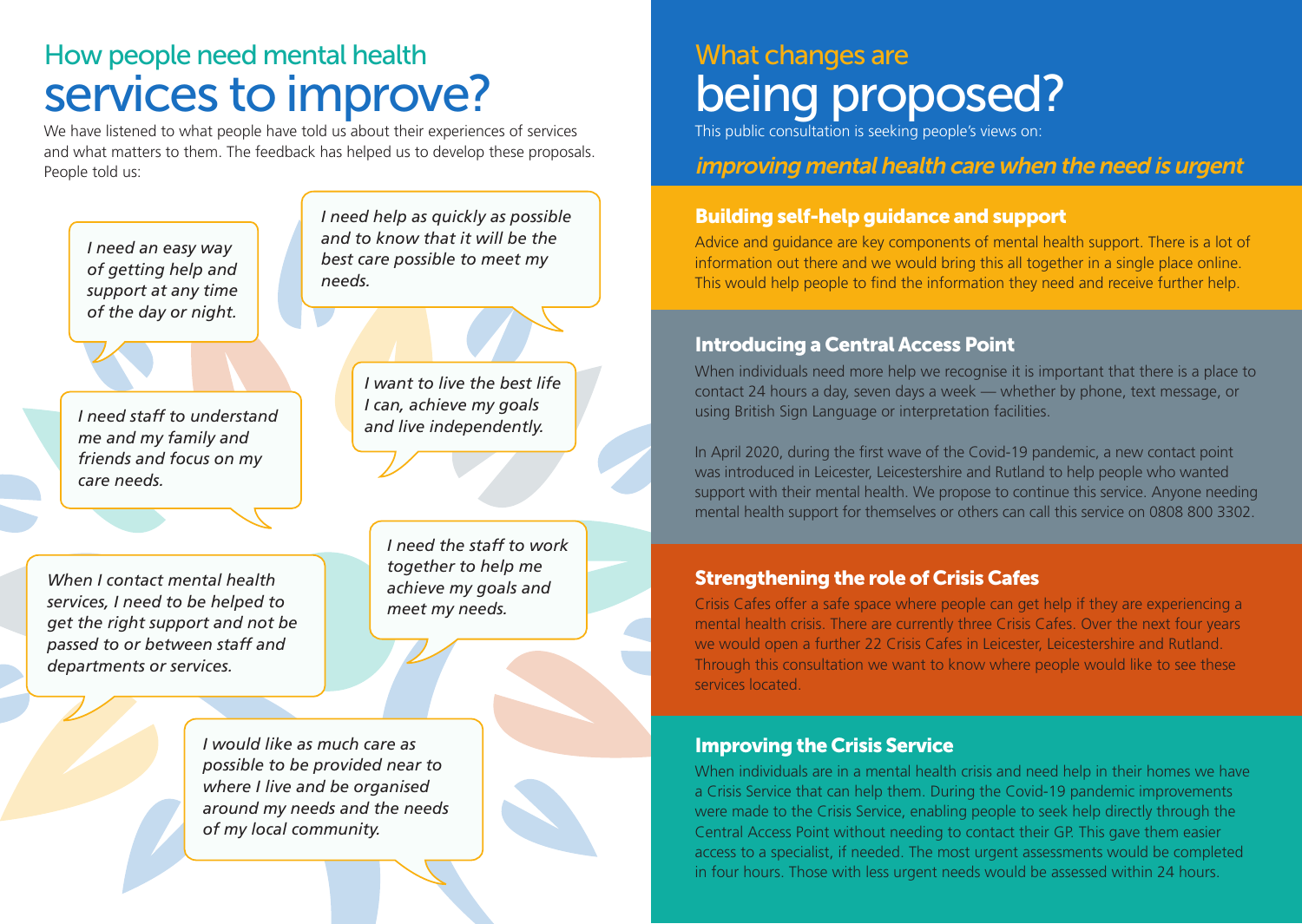## How people need mental health services to improve?

We have listened to what people have told us about their experiences of services and what matters to them. The feedback has helped us to develop these proposals. People told us:

*I need an easy way of getting help and support at any time of the day or night.*

*I need staff to understand me and my family and friends and focus on my care needs.*

*When I contact mental health services, I need to be helped to get the right support and not be passed to or between staff and departments or services.*

> *I would like as much care as possible to be provided near to where I live and be organised around my needs and the needs of my local community.*

*best care possible to meet my needs.*

*I need help as quickly as possible and to know that it will be the* 

> *I want to live the best life I can, achieve my goals and live independently.*

> > *I need the staff to work together to help me achieve my goals and meet my needs.*

## What changes are being proposed?

This public consultation is seeking people's views on:

#### improving mental health care when the need is urgent

#### Building self-help guidance and support

Advice and guidance are key components of mental health support. There is a lot of information out there and we would bring this all together in a single place online. This would help people to find the information they need and receive further help.

#### Introducing a Central Access Point

When individuals need more help we recognise it is important that there is a place to contact 24 hours a day, seven days a week — whether by phone, text message, or using British Sign Language or interpretation facilities.

In April 2020, during the first wave of the Covid-19 pandemic, a new contact point was introduced in Leicester, Leicestershire and Rutland to help people who wanted support with their mental health. We propose to continue this service. Anyone needing mental health support for themselves or others can call this service on 0808 800 3302.

#### Strengthening the role of Crisis Cafes

Crisis Cafes offer a safe space where people can get help if they are experiencing a mental health crisis. There are currently three Crisis Cafes. Over the next four years we would open a further 22 Crisis Cafes in Leicester, Leicestershire and Rutland. Through this consultation we want to know where people would like to see these services located.

#### Improving the Crisis Service

When individuals are in a mental health crisis and need help in their homes we have a Crisis Service that can help them. During the Covid-19 pandemic improvements were made to the Crisis Service, enabling people to seek help directly through the Central Access Point without needing to contact their GP. This gave them easier access to a specialist, if needed. The most urgent assessments would be completed in four hours. Those with less urgent needs would be assessed within 24 hours.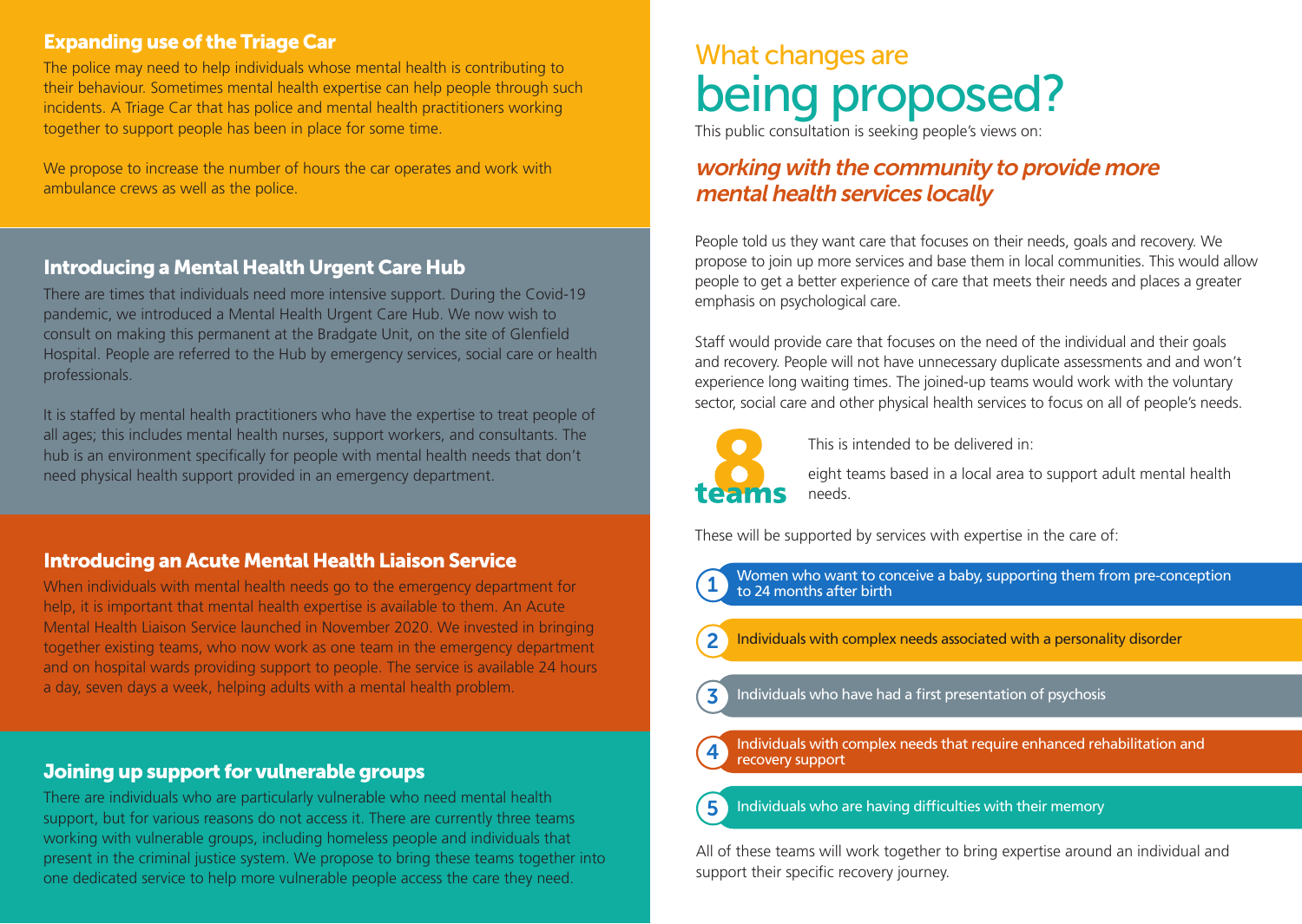#### Expanding use of the Triage Car

The police may need to help individuals whose mental health is contributing to their behaviour. Sometimes mental health expertise can help people through such incidents. A Triage Car that has police and mental health practitioners working together to support people has been in place for some time.

We propose to increase the number of hours the car operates and work with ambulance crews as well as the police.

#### Introducing a Mental Health Urgent Care Hub

There are times that individuals need more intensive support. During the Covid-19 pandemic, we introduced a Mental Health Urgent Care Hub. We now wish to consult on making this permanent at the Bradgate Unit, on the site of Glenfield Hospital. People are referred to the Hub by emergency services, social care or health professionals.

It is staffed by mental health practitioners who have the expertise to treat people of all ages; this includes mental health nurses, support workers, and consultants. The hub is an environment specifically for people with mental health needs that don't need physical health support provided in an emergency department.

#### Introducing an Acute Mental Health Liaison Service

When individuals with mental health needs go to the emergency department for help, it is important that mental health expertise is available to them. An Acute Mental Health Liaison Service launched in November 2020. We invested in bringing together existing teams, who now work as one team in the emergency department and on hospital wards providing support to people. The service is available 24 hours a day, seven days a week, helping adults with a mental health problem.

#### Joining up support for vulnerable groups

There are individuals who are particularly vulnerable who need mental health support, but for various reasons do not access it. There are currently three teams working with vulnerable groups, including homeless people and individuals that present in the criminal justice system. We propose to bring these teams together into one dedicated service to help more vulnerable people access the care they need.

## What changes are being proposed?

This public consultation is seeking people's views on:

#### working with the community to provide more mental health services locally

People told us they want care that focuses on their needs, goals and recovery. We propose to join up more services and base them in local communities. This would allow people to get a better experience of care that meets their needs and places a greater emphasis on psychological care.

Staff would provide care that focuses on the need of the individual and their goals and recovery. People will not have unnecessary duplicate assessments and and won't experience long waiting times. The joined-up teams would work with the voluntary sector, social care and other physical health services to focus on all of people's needs.



This is intended to be delivered in:

eight teams based in a local area to support adult mental health needs.

These will be supported by services with expertise in the care of:

Women who want to conceive a baby, supporting them from pre-conception to 24 months after birth

- 2 Individuals with complex needs associated with a personality disorder
- Individuals who have had a first presentation of psychosis

4 Individuals with complex needs that require enhanced rehabilitation and recovery support

Individuals who are having difficulties with their memory

All of these teams will work together to bring expertise around an individual and support their specific recovery journey.